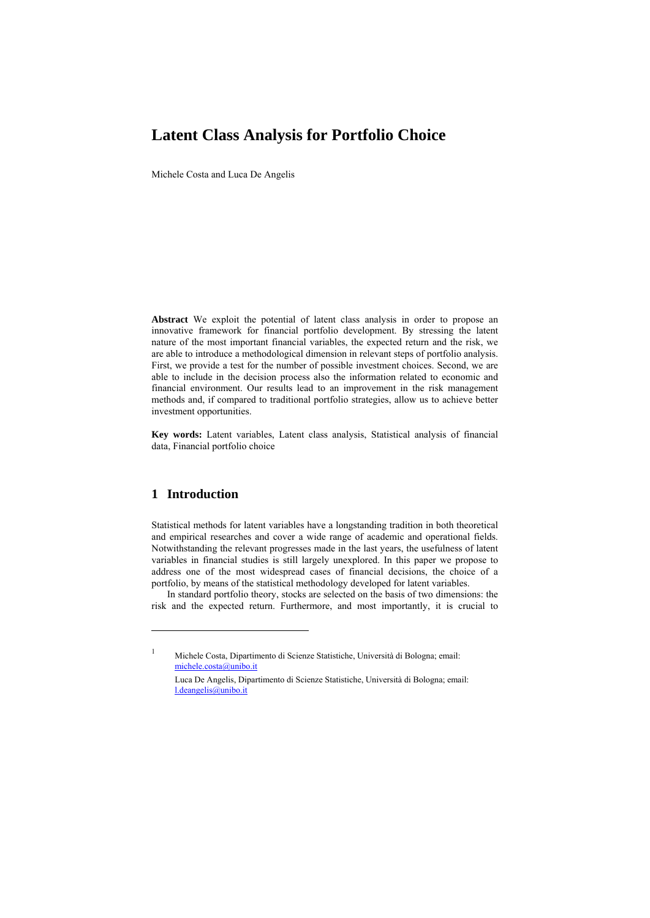# **Latent Class Analysis for Portfolio Choice**

Michele Costa and Luca De Angelis

**Abstract** We exploit the potential of latent class analysis in order to propose an innovative framework for financial portfolio development. By stressing the latent nature of the most important financial variables, the expected return and the risk, we are able to introduce a methodological dimension in relevant steps of portfolio analysis. First, we provide a test for the number of possible investment choices. Second, we are able to include in the decision process also the information related to economic and financial environment. Our results lead to an improvement in the risk management methods and, if compared to traditional portfolio strategies, allow us to achieve better investment opportunities.

**Key words:** Latent variables, Latent class analysis, Statistical analysis of financial data, Financial portfolio choice

### **1 Introduction**

l

Statistical methods for latent variables have a longstanding tradition in both theoretical and empirical researches and cover a wide range of academic and operational fields. Notwithstanding the relevant progresses made in the last years, the usefulness of latent variables in financial studies is still largely unexplored. In this paper we propose to address one of the most widespread cases of financial decisions, the choice of a portfolio, by means of the statistical methodology developed for latent variables.

In standard portfolio theory, stocks are selected on the basis of two dimensions: the risk and the expected return. Furthermore, and most importantly, it is crucial to

1 Michele Costa, Dipartimento di Scienze Statistiche, Università di Bologna; email: michele.costa@unibo.it

Luca De Angelis, Dipartimento di Scienze Statistiche, Università di Bologna; email: l.deangelis@unibo.it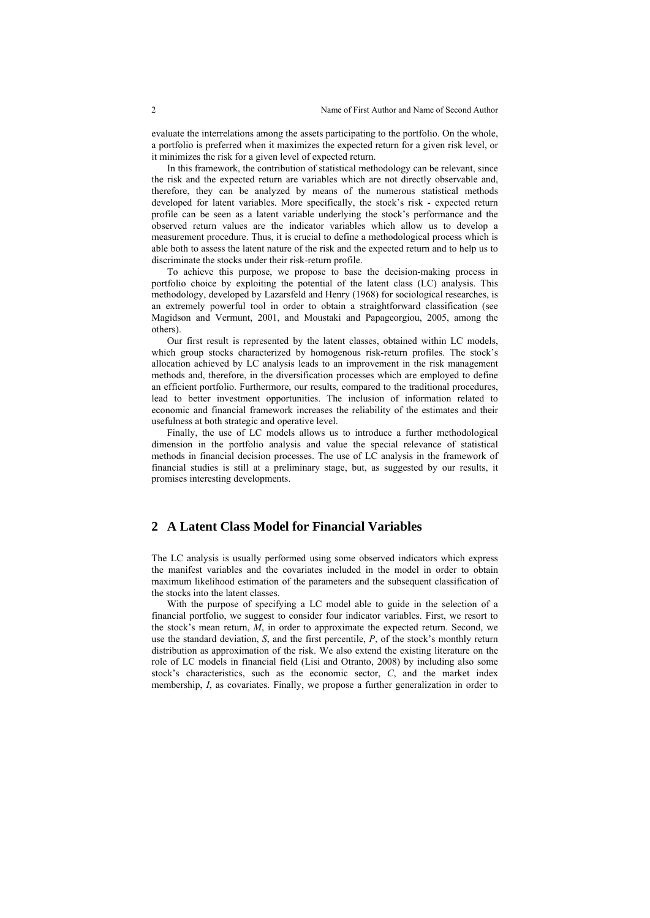evaluate the interrelations among the assets participating to the portfolio. On the whole, a portfolio is preferred when it maximizes the expected return for a given risk level, or it minimizes the risk for a given level of expected return.

In this framework, the contribution of statistical methodology can be relevant, since the risk and the expected return are variables which are not directly observable and, therefore, they can be analyzed by means of the numerous statistical methods developed for latent variables. More specifically, the stock's risk - expected return profile can be seen as a latent variable underlying the stock's performance and the observed return values are the indicator variables which allow us to develop a measurement procedure. Thus, it is crucial to define a methodological process which is able both to assess the latent nature of the risk and the expected return and to help us to discriminate the stocks under their risk-return profile.

To achieve this purpose, we propose to base the decision-making process in portfolio choice by exploiting the potential of the latent class (LC) analysis. This methodology, developed by Lazarsfeld and Henry (1968) for sociological researches, is an extremely powerful tool in order to obtain a straightforward classification (see Magidson and Vermunt, 2001, and Moustaki and Papageorgiou, 2005, among the others).

Our first result is represented by the latent classes, obtained within LC models, which group stocks characterized by homogenous risk-return profiles. The stock's allocation achieved by LC analysis leads to an improvement in the risk management methods and, therefore, in the diversification processes which are employed to define an efficient portfolio. Furthermore, our results, compared to the traditional procedures, lead to better investment opportunities. The inclusion of information related to economic and financial framework increases the reliability of the estimates and their usefulness at both strategic and operative level.

Finally, the use of LC models allows us to introduce a further methodological dimension in the portfolio analysis and value the special relevance of statistical methods in financial decision processes. The use of LC analysis in the framework of financial studies is still at a preliminary stage, but, as suggested by our results, it promises interesting developments.

## **2 A Latent Class Model for Financial Variables**

The LC analysis is usually performed using some observed indicators which express the manifest variables and the covariates included in the model in order to obtain maximum likelihood estimation of the parameters and the subsequent classification of the stocks into the latent classes.

With the purpose of specifying a LC model able to guide in the selection of a financial portfolio, we suggest to consider four indicator variables. First, we resort to the stock's mean return, *M*, in order to approximate the expected return. Second, we use the standard deviation, *S*, and the first percentile, *P*, of the stock's monthly return distribution as approximation of the risk. We also extend the existing literature on the role of LC models in financial field (Lisi and Otranto, 2008) by including also some stock's characteristics, such as the economic sector, *C*, and the market index membership, *I*, as covariates. Finally, we propose a further generalization in order to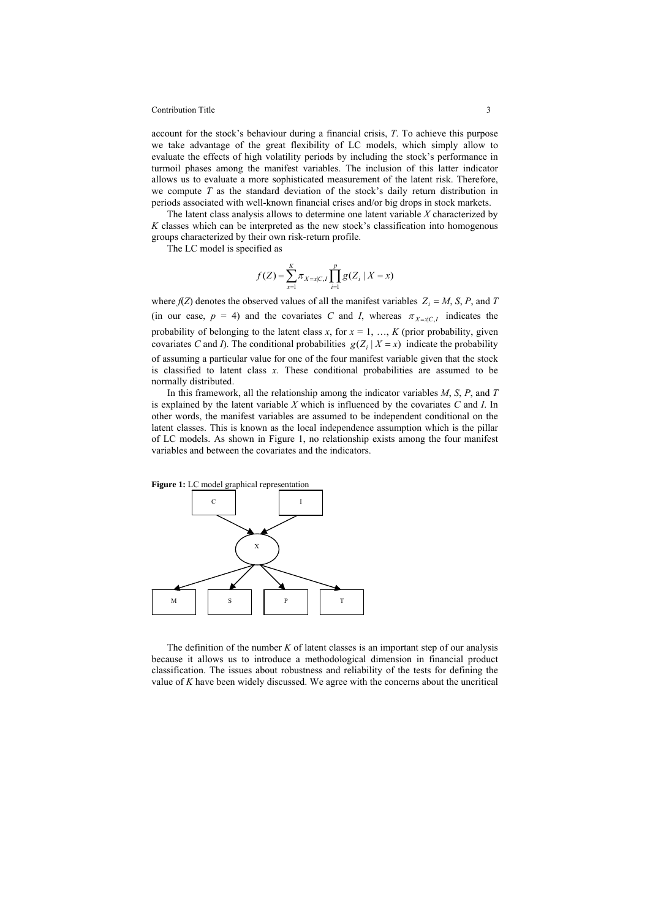#### Contribution Title 3

account for the stock's behaviour during a financial crisis, *T*. To achieve this purpose we take advantage of the great flexibility of LC models, which simply allow to evaluate the effects of high volatility periods by including the stock's performance in turmoil phases among the manifest variables. The inclusion of this latter indicator allows us to evaluate a more sophisticated measurement of the latent risk. Therefore, we compute *T* as the standard deviation of the stock's daily return distribution in periods associated with well-known financial crises and/or big drops in stock markets.

The latent class analysis allows to determine one latent variable *X* characterized by *K* classes which can be interpreted as the new stock's classification into homogenous groups characterized by their own risk-return profile.

The LC model is specified as

$$
f(Z) = \sum_{x=1}^{K} \pi_{X=x|C,I} \prod_{i=1}^{p} g(Z_i \mid X = x)
$$

where  $f(Z)$  denotes the observed values of all the manifest variables  $Z_i = M$ , *S*, *P*, and *T* (in our case,  $p = 4$ ) and the covariates *C* and *I*, whereas  $\pi_{X=x|C,I}$  indicates the probability of belonging to the latent class  $x$ , for  $x = 1, ..., K$  (prior probability, given covariates *C* and *I*). The conditional probabilities  $g(Z_i | X = x)$  indicate the probability of assuming a particular value for one of the four manifest variable given that the stock is classified to latent class *x*. These conditional probabilities are assumed to be normally distributed.

In this framework, all the relationship among the indicator variables *M*, *S*, *P*, and *T* is explained by the latent variable *X* which is influenced by the covariates *C* and *I*. In other words, the manifest variables are assumed to be independent conditional on the latent classes. This is known as the local independence assumption which is the pillar of LC models. As shown in Figure 1, no relationship exists among the four manifest variables and between the covariates and the indicators.



The definition of the number *K* of latent classes is an important step of our analysis because it allows us to introduce a methodological dimension in financial product classification. The issues about robustness and reliability of the tests for defining the value of *K* have been widely discussed. We agree with the concerns about the uncritical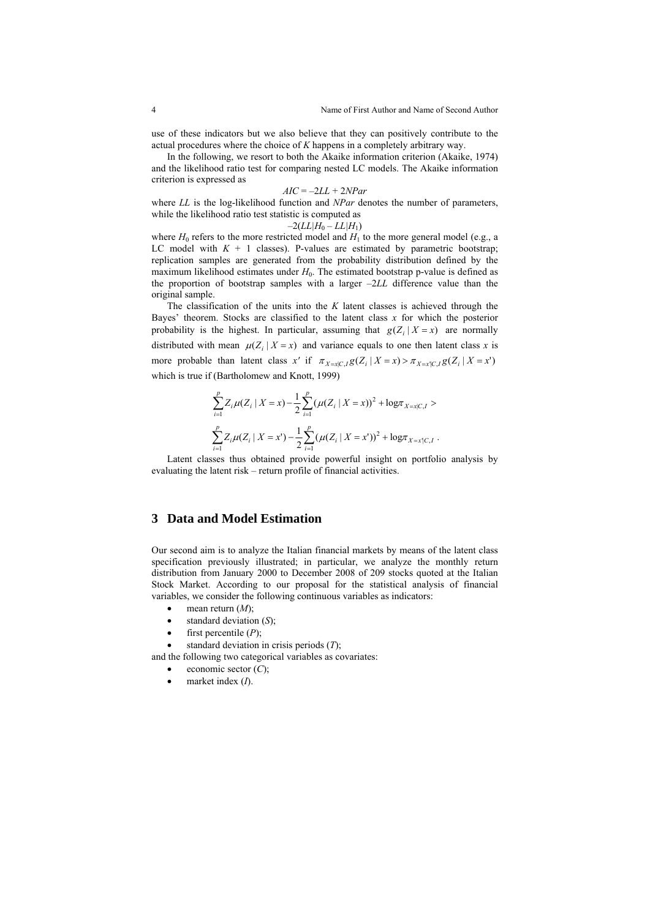use of these indicators but we also believe that they can positively contribute to the actual procedures where the choice of *K* happens in a completely arbitrary way.

In the following, we resort to both the Akaike information criterion (Akaike, 1974) and the likelihood ratio test for comparing nested LC models. The Akaike information criterion is expressed as

$$
AIC = -2LL + 2NPar
$$

where *LL* is the log-likelihood function and *NPar* denotes the number of parameters, while the likelihood ratio test statistic is computed as

$$
-2(LL|H_0-LL|H_1)
$$

where  $H_0$  refers to the more restricted model and  $H_1$  to the more general model (e.g., a LC model with  $K + 1$  classes). P-values are estimated by parametric bootstrap; replication samples are generated from the probability distribution defined by the maximum likelihood estimates under  $H_0$ . The estimated bootstrap p-value is defined as the proportion of bootstrap samples with a larger –2*LL* difference value than the original sample.

The classification of the units into the *K* latent classes is achieved through the Bayes' theorem. Stocks are classified to the latent class  $x$  for which the posterior probability is the highest. In particular, assuming that  $g(Z_i | X = x)$  are normally distributed with mean  $\mu(Z_i | X = x)$  and variance equals to one then latent class *x* is more probable than latent class x' if  $\pi_{X=x|C,B}(Z_i | X = x) > \pi_{X=x|C,B}(Z_i | X = x')$ which is true if (Bartholomew and Knott, 1999)

$$
\sum_{i=1}^p Z_i \mu(Z_i \mid X = x) - \frac{1}{2} \sum_{i=1}^p (\mu(Z_i \mid X = x))^2 + \log \pi_{X=x|C,I} >
$$
  

$$
\sum_{i=1}^p Z_i \mu(Z_i \mid X = x') - \frac{1}{2} \sum_{i=1}^p (\mu(Z_i \mid X = x'))^2 + \log \pi_{X=x|C,I}.
$$

Latent classes thus obtained provide powerful insight on portfolio analysis by evaluating the latent risk – return profile of financial activities.

### **3 Data and Model Estimation**

Our second aim is to analyze the Italian financial markets by means of the latent class specification previously illustrated; in particular, we analyze the monthly return distribution from January 2000 to December 2008 of 209 stocks quoted at the Italian Stock Market. According to our proposal for the statistical analysis of financial variables, we consider the following continuous variables as indicators:

- $\bullet$  mean return  $(M)$ ;
- standard deviation (*S*);
- $\bullet$  first percentile  $(P)$ ;
- standard deviation in crisis periods (*T*);

and the following two categorical variables as covariates:

- economic sector (*C*);
- market index (*I*).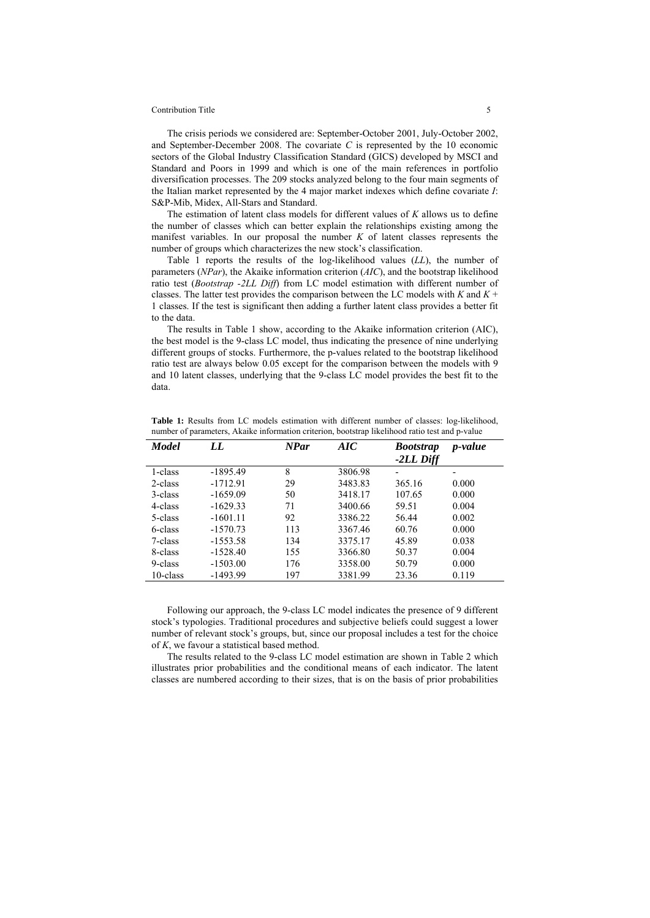#### Contribution Title 5

The crisis periods we considered are: September-October 2001, July-October 2002, and September-December 2008. The covariate *C* is represented by the 10 economic sectors of the Global Industry Classification Standard (GICS) developed by MSCI and Standard and Poors in 1999 and which is one of the main references in portfolio diversification processes. The 209 stocks analyzed belong to the four main segments of the Italian market represented by the 4 major market indexes which define covariate *I*: S&P-Mib, Midex, All-Stars and Standard.

The estimation of latent class models for different values of *K* allows us to define the number of classes which can better explain the relationships existing among the manifest variables. In our proposal the number  $K$  of latent classes represents the number of groups which characterizes the new stock's classification.

Table 1 reports the results of the log-likelihood values (*LL*), the number of parameters (*NPar*), the Akaike information criterion (*AIC*), and the bootstrap likelihood ratio test (*Bootstrap -2LL Diff*) from LC model estimation with different number of classes. The latter test provides the comparison between the LC models with *K* and *K* + 1 classes. If the test is significant then adding a further latent class provides a better fit to the data.

The results in Table 1 show, according to the Akaike information criterion (AIC), the best model is the 9-class LC model, thus indicating the presence of nine underlying different groups of stocks. Furthermore, the p-values related to the bootstrap likelihood ratio test are always below 0.05 except for the comparison between the models with 9 and 10 latent classes, underlying that the 9-class LC model provides the best fit to the data.

| <b>Model</b> | LL         | <b>NPar</b> | AIC     | <b>Bootstrap</b><br>-2LL Diff | <i>p</i> -value |
|--------------|------------|-------------|---------|-------------------------------|-----------------|
| 1-class      | $-1895.49$ | 8           | 3806.98 |                               |                 |
| 2-class      | $-1712.91$ | 29          | 3483.83 | 365.16                        | 0.000           |
| 3-class      | $-1659.09$ | 50          | 3418.17 | 107.65                        | 0.000           |
| 4-class      | $-1629.33$ | 71          | 3400.66 | 59.51                         | 0.004           |
| 5-class      | $-1601.11$ | 92          | 3386.22 | 56.44                         | 0.002           |
| 6-class      | $-1570.73$ | 113         | 3367.46 | 60.76                         | 0.000           |
| 7-class      | $-1553.58$ | 134         | 3375.17 | 45.89                         | 0.038           |
| 8-class      | $-1528.40$ | 155         | 3366.80 | 50.37                         | 0.004           |
| 9-class      | $-1503.00$ | 176         | 3358.00 | 50.79                         | 0.000           |
| 10-class     | $-1493.99$ | 197         | 3381.99 | 23.36                         | 0.119           |
|              |            |             |         |                               |                 |

**Table 1:** Results from LC models estimation with different number of classes: log-likelihood, number of parameters, Akaike information criterion, bootstrap likelihood ratio test and p-value

Following our approach, the 9-class LC model indicates the presence of 9 different stock's typologies. Traditional procedures and subjective beliefs could suggest a lower number of relevant stock's groups, but, since our proposal includes a test for the choice of *K*, we favour a statistical based method.

The results related to the 9-class LC model estimation are shown in Table 2 which illustrates prior probabilities and the conditional means of each indicator. The latent classes are numbered according to their sizes, that is on the basis of prior probabilities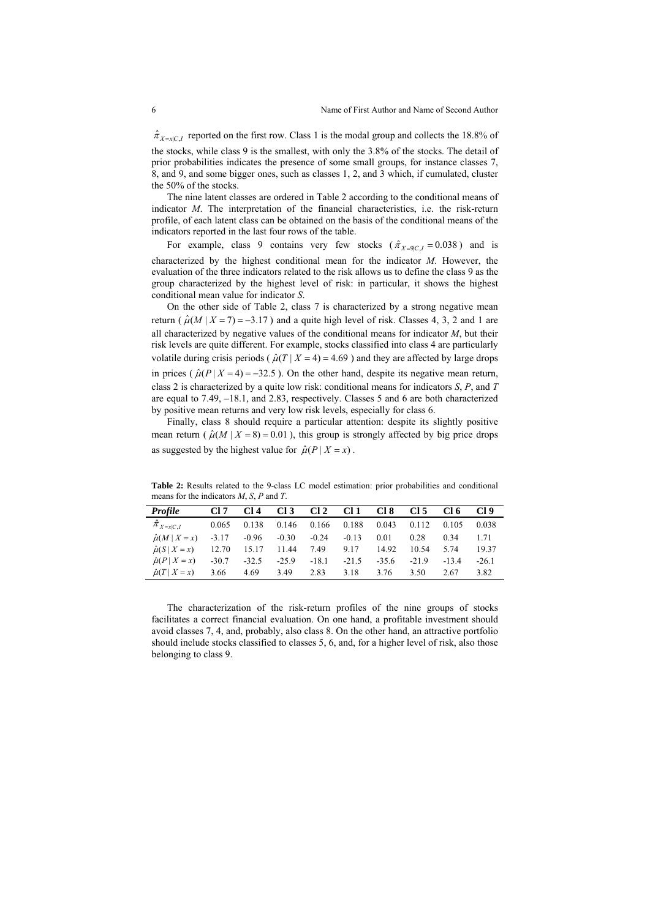$\hat{\pi}_{X=x|C,I}$  reported on the first row. Class 1 is the modal group and collects the 18.8% of the stocks, while class 9 is the smallest, with only the 3.8% of the stocks. The detail of prior probabilities indicates the presence of some small groups, for instance classes 7, 8, and 9, and some bigger ones, such as classes 1, 2, and 3 which, if cumulated, cluster the 50% of the stocks.

The nine latent classes are ordered in Table 2 according to the conditional means of indicator *M*. The interpretation of the financial characteristics, i.e. the risk-return profile, of each latent class can be obtained on the basis of the conditional means of the indicators reported in the last four rows of the table.

For example, class 9 contains very few stocks ( $\hat{\pi}_{X=9C,I} = 0.038$ ) and is characterized by the highest conditional mean for the indicator *M*. However, the evaluation of the three indicators related to the risk allows us to define the class 9 as the group characterized by the highest level of risk: in particular, it shows the highest conditional mean value for indicator *S*.

On the other side of Table 2, class 7 is characterized by a strong negative mean return ( $\hat{\mu}(M \mid X = 7) = -3.17$ ) and a quite high level of risk. Classes 4, 3, 2 and 1 are all characterized by negative values of the conditional means for indicator *M*, but their risk levels are quite different. For example, stocks classified into class 4 are particularly volatile during crisis periods ( $\hat{\mu}(T | X = 4) = 4.69$ ) and they are affected by large drops in prices ( $\hat{\mu}(P | X = 4) = -32.5$ ). On the other hand, despite its negative mean return, class 2 is characterized by a quite low risk: conditional means for indicators *S*, *P*, and *T* are equal to 7.49, –18.1, and 2.83, respectively. Classes 5 and 6 are both characterized by positive mean returns and very low risk levels, especially for class 6.

Finally, class 8 should require a particular attention: despite its slightly positive mean return ( $\hat{\mu}(M \mid X = 8) = 0.01$ ), this group is strongly affected by big price drops as suggested by the highest value for  $\hat{\mu}(P | X = x)$ .

**Table 2:** Results related to the 9-class LC model estimation: prior probabilities and conditional means for the indicators *M*, *S*, *P* and *T*.

| <b>Profile</b>            | Cl 7    | CI 4    | CI 3    | Cl <sub>2</sub> | Cl 1    | CI 8    | CI 5    | CI 6    | Cl 9    |
|---------------------------|---------|---------|---------|-----------------|---------|---------|---------|---------|---------|
| $\hat{\pi}_{X=x C,I}$     | 0.065   | 0.138   | 0.146   | 0.166           | 0.188   | 0.043   | 0.112   | 0.105   | 0.038   |
| $\hat{\mu}(M \mid X = x)$ | $-3.17$ | $-0.96$ | $-0.30$ | $-0.24$         | $-0.13$ | 0.01    | 0.28    | 0.34    | 1.71    |
| $\hat{\mu}(S   X = x)$    | 12.70   | 15.17   | 11.44   | 7.49            | 9.17    | 14.92   | 10.54   | 5.74    | 19.37   |
| $\hat{\mu}(P X=x)$        | $-30.7$ | $-32.5$ | $-25.9$ | $-18.1$         | $-21.5$ | $-35.6$ | $-21.9$ | $-13.4$ | $-26.1$ |
| $\hat{\mu}(T   X = x)$    | 3.66    | 4.69    | 3.49    | 2.83            | 3.18    | 3.76    | 3.50    | 2.67    | 3.82    |

The characterization of the risk-return profiles of the nine groups of stocks facilitates a correct financial evaluation. On one hand, a profitable investment should avoid classes 7, 4, and, probably, also class 8. On the other hand, an attractive portfolio should include stocks classified to classes 5, 6, and, for a higher level of risk, also those belonging to class 9.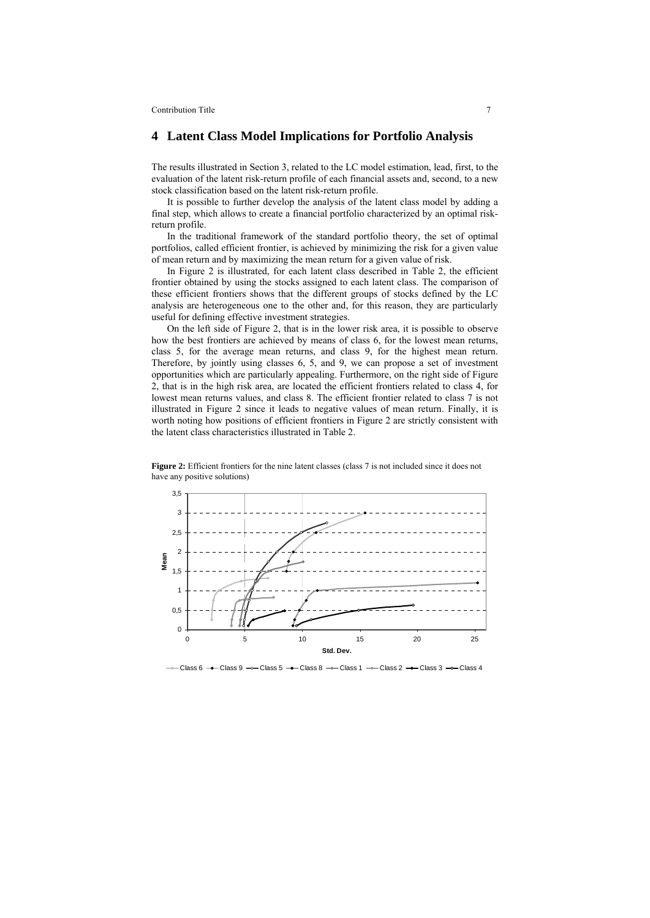**Contribution Title 7** 2004

#### **4 Latent Class Model Implications for Portfolio Analysis**

The results illustrated in Section 3, related to the LC model estimation, lead, first, to the evaluation of the latent risk-return profile of each financial assets and, second, to a new stock classification based on the latent risk-return profile.

It is possible to further develop the analysis of the latent class model by adding a final step, which allows to create a financial portfolio characterized by an optimal riskreturn profile.

In the traditional framework of the standard portfolio theory, the set of optimal portfolios, called efficient frontier, is achieved by minimizing the risk for a given value of mean return and by maximizing the mean return for a given value of risk.

In Figure 2 is illustrated, for each latent class described in Table 2, the efficient frontier obtained by using the stocks assigned to each latent class. The comparison of these efficient frontiers shows that the different groups of stocks defined by the LC analysis are heterogeneous one to the other and, for this reason, they are particularly useful for defining effective investment strategies.

On the left side of Figure 2, that is in the lower risk area, it is possible to observe how the best frontiers are achieved by means of class 6, for the lowest mean returns, class 5, for the average mean returns, and class 9, for the highest mean return. Therefore, by jointly using classes 6, 5, and 9, we can propose a set of investment opportunities which are particularly appealing. Furthermore, on the right side of Figure 2, that is in the high risk area, are located the efficient frontiers related to class 4, for lowest mean returns values, and class 8. The efficient frontier related to class 7 is not illustrated in Figure 2 since it leads to negative values of mean return. Finally, it is worth noting how positions of efficient frontiers in Figure 2 are strictly consistent with the latent class characteristics illustrated in Table 2.



**Figure 2:** Efficient frontiers for the nine latent classes (class 7 is not included since it does not have any positive solutions)

 $\leftarrow$  Class 6  $\rightarrow$  Class 9  $\rightarrow$  Class 5  $\rightarrow$  Class 8  $\rightarrow$  Class 1  $\rightarrow$  Class 2  $\rightarrow$  Class 3  $\rightarrow$  Class 4